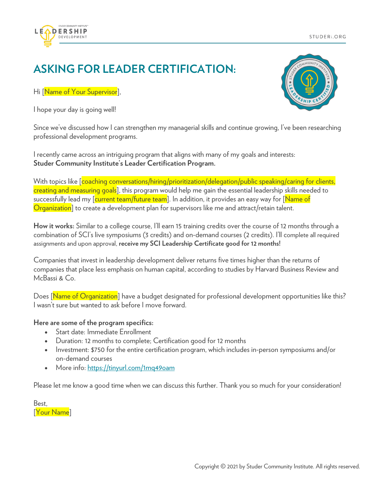



## **ASKING FOR LEADER CERTIFICATION:**

Hi [Name of Your Supervisor],

I hope your day is going well!



Since we've discussed how I can strengthen my managerial skills and continue growing, I've been researching professional development programs.

I recently came across an intriguing program that aligns with many of my goals and interests: **Studer Community Institute's Leader Certification Program.**

With topics like [coaching conversations/hiring/prioritization/delegation/public speaking/caring for clients, creating and measuring goals], this program would help me gain the essential leadership skills needed to successfully lead my [current team/future team]. In addition, it provides an easy way for [Name of Organization] to create a development plan for supervisors like me and attract/retain talent.

**How it works:** Similar to a college course, I'll earn 15 training credits over the course of 12 months through a combination of SCI's live symposiums (3 credits) and on-demand courses (2 credits). I'll complete all required assignments and upon approval, **receive my SCI Leadership Certificate good for 12 months!**

Companies that invest in leadership development deliver returns five times higher than the returns of companies that place less emphasis on human capital, according to studies by Harvard Business Review and McBassi & Co.

Does [Name of Organization] have a budget designated for professional development opportunities like this? I wasn't sure but wanted to ask before I move forward.

## **Here are some of the program specifics:**

- Start date: Immediate Enrollment
- Duration: 12 months to complete; Certification good for 12 months
- Investment: \$750 for the entire certification program, which includes in-person symposiums and/or on-demand courses
- More info: https://tinyurl.com/1mq49oam

Please let me know a good time when we can discuss this further. Thank you so much for your consideration!

Best, [Your Name]